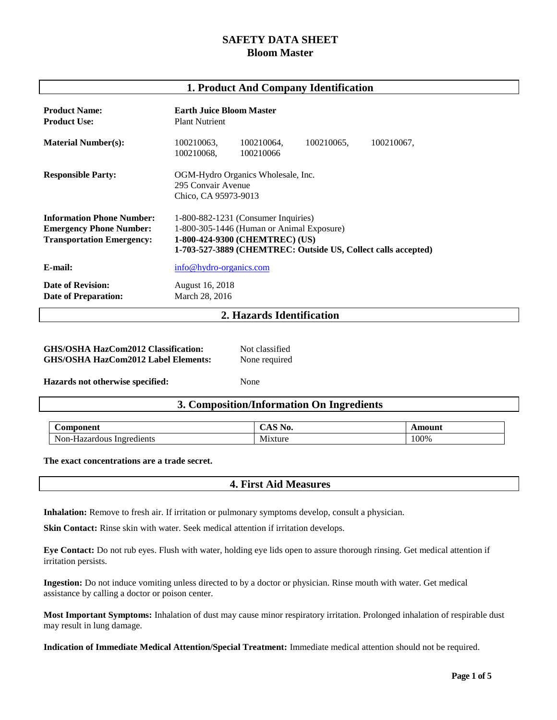# **SAFETY DATA SHEET Bloom Master**

### **1. Product And Company Identification**

| <b>Product Name:</b><br><b>Product Use:</b>                                                            | <b>Earth Juice Bloom Master</b><br><b>Plant Nutrient</b>                                                                                                                            |  |  |  |
|--------------------------------------------------------------------------------------------------------|-------------------------------------------------------------------------------------------------------------------------------------------------------------------------------------|--|--|--|
| <b>Material Number(s):</b>                                                                             | 100210063,<br>100210064,<br>100210065,<br>100210067,<br>100210068,<br>100210066                                                                                                     |  |  |  |
| <b>Responsible Party:</b>                                                                              | OGM-Hydro Organics Wholesale, Inc.<br>295 Convair Avenue<br>Chico, CA 95973-9013                                                                                                    |  |  |  |
| <b>Information Phone Number:</b><br><b>Emergency Phone Number:</b><br><b>Transportation Emergency:</b> | 1-800-882-1231 (Consumer Inquiries)<br>1-800-305-1446 (Human or Animal Exposure)<br>1-800-424-9300 (CHEMTREC) (US)<br>1-703-527-3889 (CHEMTREC: Outside US, Collect calls accepted) |  |  |  |
| E-mail:                                                                                                | info@hydro-organics.com                                                                                                                                                             |  |  |  |
| <b>Date of Revision:</b><br><b>Date of Preparation:</b>                                                | August 16, 2018<br>March 28, 2016                                                                                                                                                   |  |  |  |
| 2. Hazards Identification                                                                              |                                                                                                                                                                                     |  |  |  |

| <b>GHS/OSHA HazCom2012 Classification:</b> | Not classified |
|--------------------------------------------|----------------|
| <b>GHS/OSHA HazCom2012 Label Elements:</b> | None required  |

**Hazards not otherwise specified:** None

## **3. Composition/Information On Ingredients**

| $\sim$<br>Component                 | ' ∕Au<br>INU,  | mount |
|-------------------------------------|----------------|-------|
| Non-Hazardous<br>Ingredients<br>--- | <b>Mixture</b> | 100%  |

**The exact concentrations are a trade secret.**

## **4. First Aid Measures**

**Inhalation:** Remove to fresh air. If irritation or pulmonary symptoms develop, consult a physician.

**Skin Contact:** Rinse skin with water. Seek medical attention if irritation develops.

**Eye Contact:** Do not rub eyes. Flush with water, holding eye lids open to assure thorough rinsing. Get medical attention if irritation persists.

**Ingestion:** Do not induce vomiting unless directed to by a doctor or physician. Rinse mouth with water. Get medical assistance by calling a doctor or poison center.

**Most Important Symptoms:** Inhalation of dust may cause minor respiratory irritation. Prolonged inhalation of respirable dust may result in lung damage.

**Indication of Immediate Medical Attention/Special Treatment:** Immediate medical attention should not be required.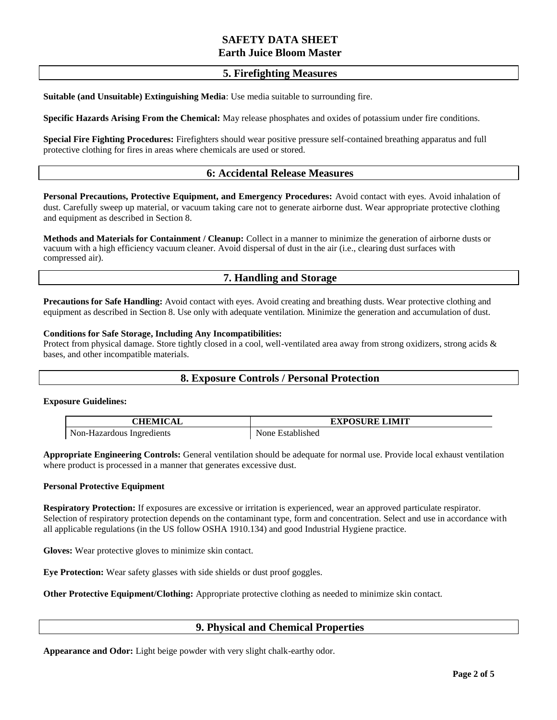## **5. Firefighting Measures**

**Suitable (and Unsuitable) Extinguishing Media**: Use media suitable to surrounding fire.

**Specific Hazards Arising From the Chemical:** May release phosphates and oxides of potassium under fire conditions.

**Special Fire Fighting Procedures:** Firefighters should wear positive pressure self-contained breathing apparatus and full protective clothing for fires in areas where chemicals are used or stored.

## **6: Accidental Release Measures**

**Personal Precautions, Protective Equipment, and Emergency Procedures:** Avoid contact with eyes. Avoid inhalation of dust. Carefully sweep up material, or vacuum taking care not to generate airborne dust. Wear appropriate protective clothing and equipment as described in Section 8.

**Methods and Materials for Containment / Cleanup:** Collect in a manner to minimize the generation of airborne dusts or vacuum with a high efficiency vacuum cleaner. Avoid dispersal of dust in the air (i.e., clearing dust surfaces with compressed air).

# **7. Handling and Storage**

**Precautions for Safe Handling:** Avoid contact with eyes. Avoid creating and breathing dusts. Wear protective clothing and equipment as described in Section 8. Use only with adequate ventilation. Minimize the generation and accumulation of dust.

#### **Conditions for Safe Storage, Including Any Incompatibilities:**

Protect from physical damage. Store tightly closed in a cool, well-ventilated area away from strong oxidizers, strong acids & bases, and other incompatible materials.

## **8. Exposure Controls / Personal Protection**

#### **Exposure Guidelines:**

| NHEMICAI                  | <b>EXPOSURE LIMIT</b> |  |
|---------------------------|-----------------------|--|
| Non-Hazardous Ingredients | Established<br>None   |  |

**Appropriate Engineering Controls:** General ventilation should be adequate for normal use. Provide local exhaust ventilation where product is processed in a manner that generates excessive dust.

#### **Personal Protective Equipment**

**Respiratory Protection:** If exposures are excessive or irritation is experienced, wear an approved particulate respirator. Selection of respiratory protection depends on the contaminant type, form and concentration. Select and use in accordance with all applicable regulations (in the US follow OSHA 1910.134) and good Industrial Hygiene practice.

**Gloves:** Wear protective gloves to minimize skin contact.

**Eye Protection:** Wear safety glasses with side shields or dust proof goggles.

**Other Protective Equipment/Clothing:** Appropriate protective clothing as needed to minimize skin contact.

## **9. Physical and Chemical Properties**

**Appearance and Odor:** Light beige powder with very slight chalk-earthy odor.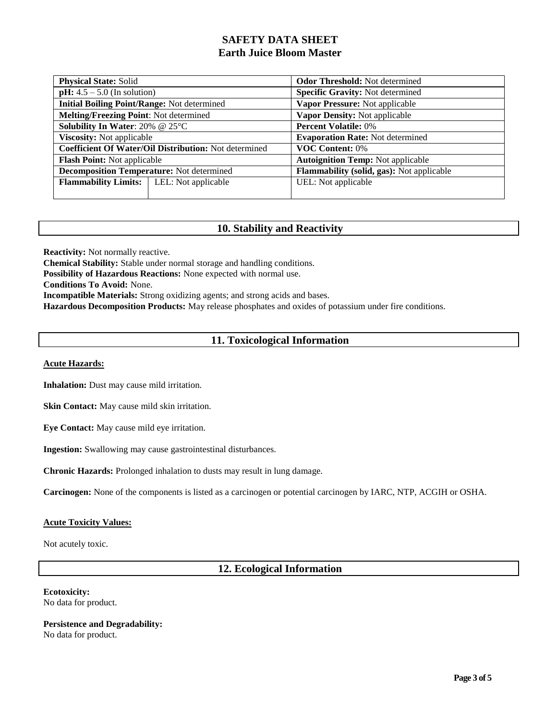| <b>Physical State: Solid</b>                          |  | <b>Odor Threshold:</b> Not determined     |  |
|-------------------------------------------------------|--|-------------------------------------------|--|
| <b>pH:</b> $4.5 - 5.0$ (In solution)                  |  | <b>Specific Gravity: Not determined</b>   |  |
| <b>Initial Boiling Point/Range: Not determined</b>    |  | Vapor Pressure: Not applicable            |  |
| <b>Melting/Freezing Point: Not determined</b>         |  | Vapor Density: Not applicable             |  |
| Solubility In Water: 20% @ 25°C                       |  | <b>Percent Volatile: 0%</b>               |  |
| <b>Viscosity:</b> Not applicable                      |  | <b>Evaporation Rate: Not determined</b>   |  |
| Coefficient Of Water/Oil Distribution: Not determined |  | <b>VOC Content: 0%</b>                    |  |
| <b>Flash Point:</b> Not applicable                    |  | <b>Autoignition Temp: Not applicable</b>  |  |
| <b>Decomposition Temperature:</b> Not determined      |  | Flammability (solid, gas): Not applicable |  |
| <b>Flammability Limits:</b>   LEL: Not applicable     |  | UEL: Not applicable                       |  |
|                                                       |  |                                           |  |

# **10. Stability and Reactivity**

**Reactivity:** Not normally reactive.

**Chemical Stability:** Stable under normal storage and handling conditions.

**Possibility of Hazardous Reactions:** None expected with normal use.

**Conditions To Avoid:** None.

**Incompatible Materials:** Strong oxidizing agents; and strong acids and bases.

**Hazardous Decomposition Products:** May release phosphates and oxides of potassium under fire conditions.

# **11. Toxicological Information**

#### **Acute Hazards:**

**Inhalation:** Dust may cause mild irritation.

**Skin Contact:** May cause mild skin irritation.

**Eye Contact:** May cause mild eye irritation.

**Ingestion:** Swallowing may cause gastrointestinal disturbances.

**Chronic Hazards:** Prolonged inhalation to dusts may result in lung damage.

**Carcinogen:** None of the components is listed as a carcinogen or potential carcinogen by IARC, NTP, ACGIH or OSHA.

#### **Acute Toxicity Values:**

Not acutely toxic.

# **12. Ecological Information**

**Ecotoxicity:** No data for product.

**Persistence and Degradability:**  No data for product.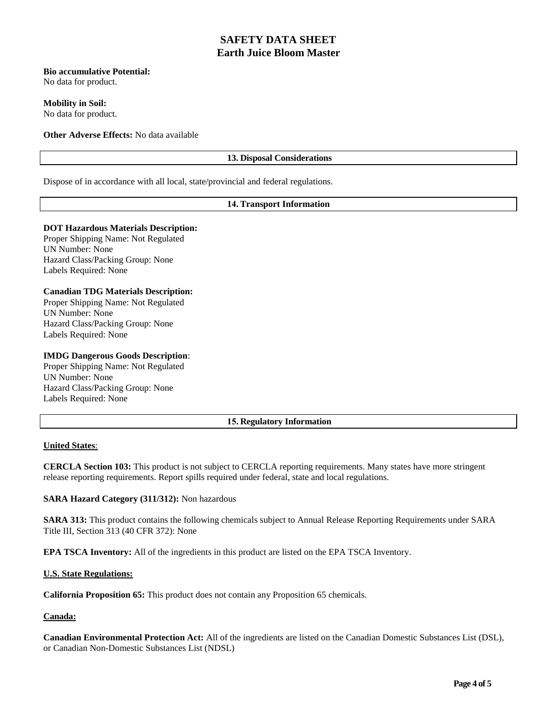### **Bio accumulative Potential:**

No data for product.

**Mobility in Soil:** 

No data for product.

**Other Adverse Effects:** No data available

## **13. Disposal Considerations**

Dispose of in accordance with all local, state/provincial and federal regulations.

### **14. Transport Information**

### **DOT Hazardous Materials Description:**

Proper Shipping Name: Not Regulated UN Number: None Hazard Class/Packing Group: None Labels Required: None

### **Canadian TDG Materials Description:**

Proper Shipping Name: Not Regulated UN Number: None Hazard Class/Packing Group: None Labels Required: None

### **IMDG Dangerous Goods Description**:

Proper Shipping Name: Not Regulated UN Number: None Hazard Class/Packing Group: None Labels Required: None

### **15. Regulatory Information**

### **United States**:

**CERCLA Section 103:** This product is not subject to CERCLA reporting requirements. Many states have more stringent release reporting requirements. Report spills required under federal, state and local regulations.

**SARA Hazard Category (311/312):** Non hazardous

**SARA 313:** This product contains the following chemicals subject to Annual Release Reporting Requirements under SARA Title III, Section 313 (40 CFR 372): None

**EPA TSCA Inventory:** All of the ingredients in this product are listed on the EPA TSCA Inventory.

#### **U.S. State Regulations:**

**California Proposition 65:** This product does not contain any Proposition 65 chemicals.

#### **Canada:**

**Canadian Environmental Protection Act:** All of the ingredients are listed on the Canadian Domestic Substances List (DSL), or Canadian Non-Domestic Substances List (NDSL)